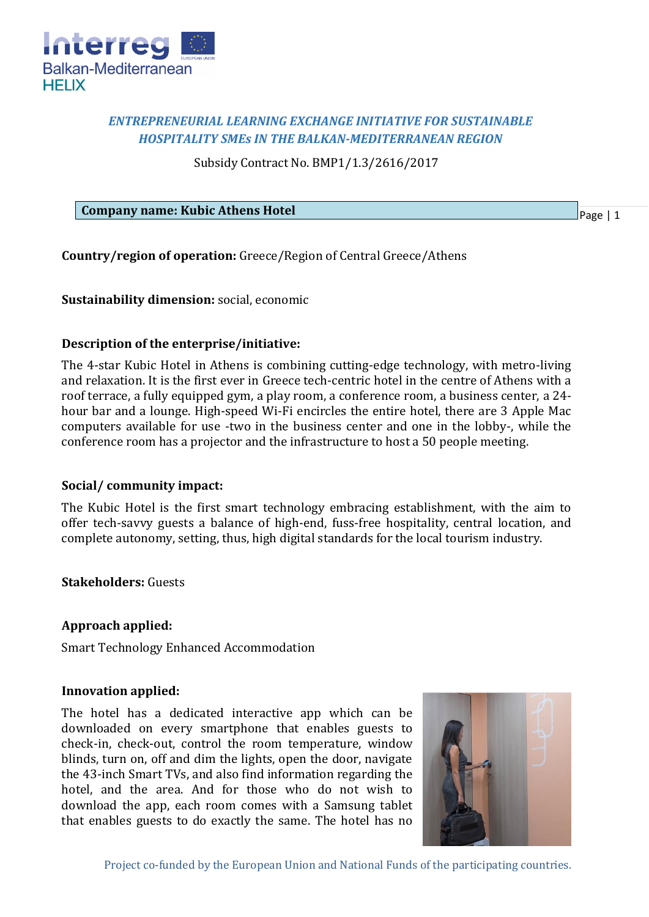

# *ENTREPRENEURIAL LEARNING EXCHANGE INITIATIVE FOR SUSTAINABLE HOSPITALITY SMEs IN THE BALKAN-MEDITERRANEAN REGION*

Subsidy Contract No. BMP1/1.3/2616/2017

**Company name: Kubic Athens Hotel**

Page | 1

**Country/region of operation:** Greece/Region of Central Greece/Athens

**Sustainability dimension:** social, economic

## **Description of the enterprise/initiative:**

The 4-star Kubic Hotel in Athens is combining cutting-edge technology, with metro-living and relaxation. It is the first ever in Greece tech-centric hotel in the centre of Athens with a roof terrace, a fully equipped gym, a play room, a conference room, a business center, a 24 hour bar and a lounge. High-speed Wi-Fi encircles the entire hotel, there are 3 Apple Mac computers available for use -two in the business center and one in the lobby-, while the conference room has a projector and the infrastructure to host a 50 people meeting.

## **Social/ community impact:**

The Kubic Hotel is the first smart technology embracing establishment, with the aim to offer tech-savvy guests a balance of high-end, fuss-free hospitality, central location, and complete autonomy, setting, thus, high digital standards for the local tourism industry.

## **Stakeholders:** Guests

## **Approach applied:**

Smart Technology Enhanced Accommodation

### **Innovation applied:**

The hotel has a dedicated interactive app which can be downloaded on every smartphone that enables guests to check-in, check-out, control the room temperature, window blinds, turn on, off and dim the lights, open the door, navigate the 43-inch Smart TVs, and also find information regarding the hotel, and the area. And for those who do not wish to download the app, each room comes with a Samsung tablet that enables guests to do exactly the same. The hotel has no